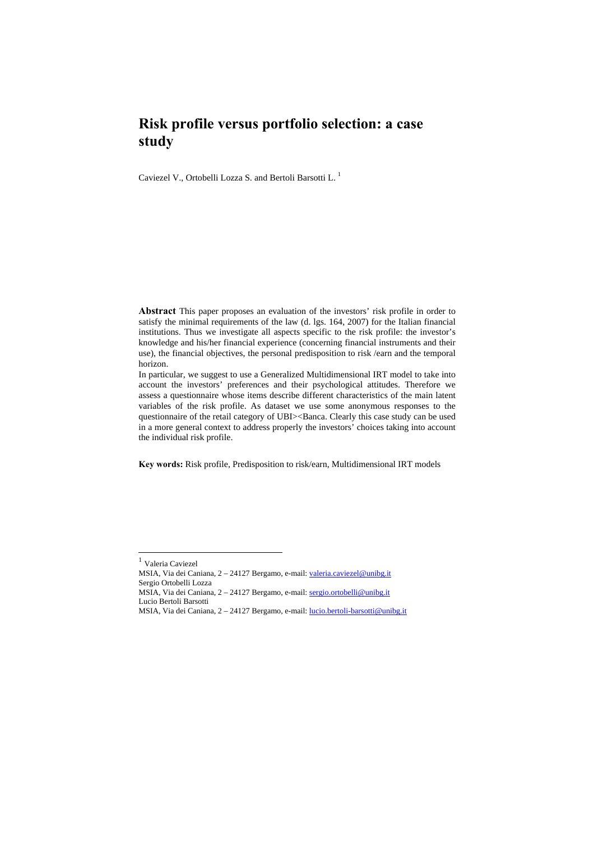# **Risk profile versus portfolio selection: a case study**

Caviezel V., Ortobelli Lozza S. and Bertoli Barsotti L. 1

**Abstract** This paper proposes an evaluation of the investors' risk profile in order to satisfy the minimal requirements of the law (d. lgs. 164, 2007) for the Italian financial institutions. Thus we investigate all aspects specific to the risk profile: the investor's knowledge and his/her financial experience (concerning financial instruments and their use), the financial objectives, the personal predisposition to risk /earn and the temporal horizon.

In particular, we suggest to use a Generalized Multidimensional IRT model to take into account the investors' preferences and their psychological attitudes. Therefore we assess a questionnaire whose items describe different characteristics of the main latent variables of the risk profile. As dataset we use some anonymous responses to the questionnaire of the retail category of UBI $>$ Banca. Clearly this case study can be used in a more general context to address properly the investors' choices taking into account the individual risk profile.

**Key words:** Risk profile, Predisposition to risk/earn, Multidimensional IRT models

l

MSIA, Via dei Caniana, 2 – 24127 Bergamo, e-mail: lucio.bertoli-barsotti@unibg.it

 $^{\rm 1}$  Valeria Caviezel

MSIA, Via dei Caniana, 2 – 24127 Bergamo, e-mail: valeria.caviezel@unibg.it Sergio Ortobelli Lozza

MSIA, Via dei Caniana, 2 – 24127 Bergamo, e-mail: sergio.ortobelli@unibg.it

Lucio Bertoli Barsotti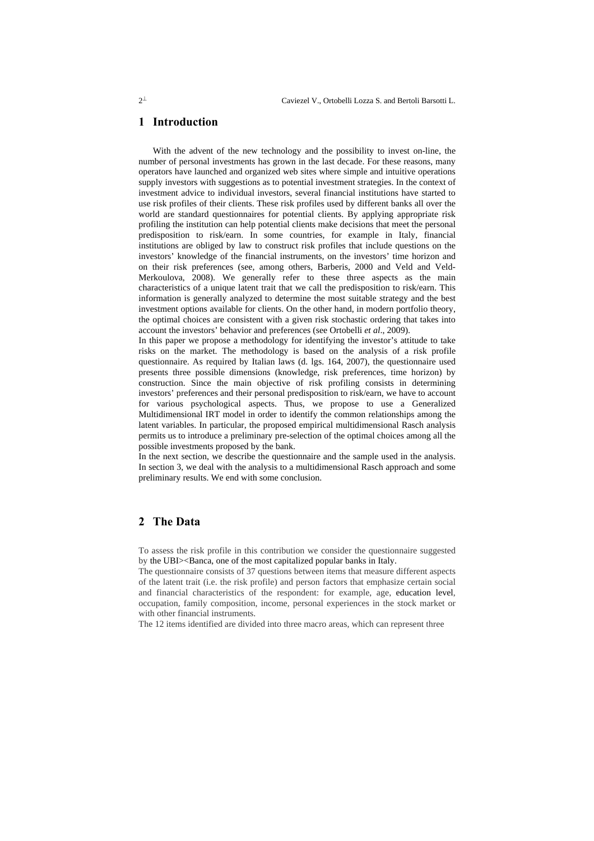## **1 Introduction**

With the advent of the new technology and the possibility to invest on-line, the number of personal investments has grown in the last decade. For these reasons, many operators have launched and organized web sites where simple and intuitive operations supply investors with suggestions as to potential investment strategies. In the context of investment advice to individual investors, several financial institutions have started to use risk profiles of their clients. These risk profiles used by different banks all over the world are standard questionnaires for potential clients. By applying appropriate risk profiling the institution can help potential clients make decisions that meet the personal predisposition to risk/earn. In some countries, for example in Italy, financial institutions are obliged by law to construct risk profiles that include questions on the investors' knowledge of the financial instruments, on the investors' time horizon and on their risk preferences (see, among others, Barberis, 2000 and Veld and Veld-Merkoulova, 2008). We generally refer to these three aspects as the main characteristics of a unique latent trait that we call the predisposition to risk/earn. This information is generally analyzed to determine the most suitable strategy and the best investment options available for clients. On the other hand, in modern portfolio theory, the optimal choices are consistent with a given risk stochastic ordering that takes into account the investors' behavior and preferences (see Ortobelli *et al*., 2009).

In this paper we propose a methodology for identifying the investor's attitude to take risks on the market. The methodology is based on the analysis of a risk profile questionnaire. As required by Italian laws (d. lgs. 164, 2007), the questionnaire used presents three possible dimensions (knowledge, risk preferences, time horizon) by construction. Since the main objective of risk profiling consists in determining investors' preferences and their personal predisposition to risk/earn, we have to account for various psychological aspects. Thus, we propose to use a Generalized Multidimensional IRT model in order to identify the common relationships among the latent variables. In particular, the proposed empirical multidimensional Rasch analysis permits us to introduce a preliminary pre-selection of the optimal choices among all the possible investments proposed by the bank.

In the next section, we describe the questionnaire and the sample used in the analysis. In section 3, we deal with the analysis to a multidimensional Rasch approach and some preliminary results. We end with some conclusion.

## **2 The Data**

To assess the risk profile in this contribution we consider the questionnaire suggested by the UBI><Banca, one of the most capitalized popular banks in Italy.

The questionnaire consists of 37 questions between items that measure different aspects of the latent trait (i.e. the risk profile) and person factors that emphasize certain social and financial characteristics of the respondent: for example, age, education level, occupation, family composition, income, personal experiences in the stock market or with other financial instruments.

The 12 items identified are divided into three macro areas, which can represent three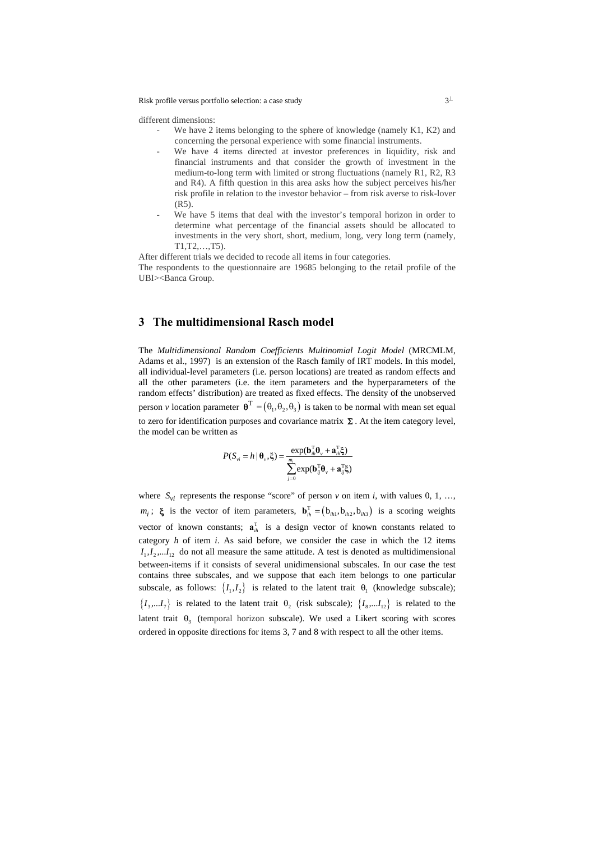Risk profile versus portfolio selection: a case study  $3^{\perp}$ 

different dimensions:

- We have 2 items belonging to the sphere of knowledge (namely  $K1, K2$ ) and concerning the personal experience with some financial instruments.
- We have 4 items directed at investor preferences in liquidity, risk and financial instruments and that consider the growth of investment in the medium-to-long term with limited or strong fluctuations (namely R1, R2, R3 and R4). A fifth question in this area asks how the subject perceives his/her risk profile in relation to the investor behavior – from risk averse to risk-lover (R5).
- We have 5 items that deal with the investor's temporal horizon in order to determine what percentage of the financial assets should be allocated to investments in the very short, short, medium, long, very long term (namely, T1,T2,…,T5).

After different trials we decided to recode all items in four categories.

The respondents to the questionnaire are 19685 belonging to the retail profile of the UBI><Banca Group.

# **3 The multidimensional Rasch model**

The *Multidimensional Random Coefficients Multinomial Logit Model* (MRCMLM, Adams et al., 1997) is an extension of the Rasch family of IRT models. In this model, all individual-level parameters (i.e. person locations) are treated as random effects and all the other parameters (i.e. the item parameters and the hyperparameters of the random effects' distribution) are treated as fixed effects. The density of the unobserved person *v* location parameter  $\mathbf{\theta}^T = (\theta_1, \theta_2, \theta_3)$  is taken to be normal with mean set equal to zero for identification purposes and covariance matrix  $\Sigma$ . At the item category level, the model can be written as

$$
P(S_{vi} = h | \boldsymbol{\theta}_{v}, \boldsymbol{\xi}) = \frac{\exp(\mathbf{b}_{ih}^{\mathrm{T}} \boldsymbol{\theta}_{v} + \mathbf{a}_{ih}^{\mathrm{T}} \boldsymbol{\xi})}{\sum_{j=0}^{m_{i}} \exp(\mathbf{b}_{ij}^{\mathrm{T}} \boldsymbol{\theta}_{v} + \mathbf{a}_{ij}^{\mathrm{T}} \boldsymbol{\xi})}
$$

where  $S_{vi}$  represents the response "score" of person *v* on item *i*, with values 0, 1, ...,  $m_i$ ;  $\xi$  is the vector of item parameters,  $\mathbf{b}_{ih}^T = (\mathbf{b}_{ih1}, \mathbf{b}_{ih2}, \mathbf{b}_{ih3})$  is a scoring weights vector of known constants;  $\mathbf{a}_{ih}^T$  is a design vector of known constants related to category *h* of item *i*. As said before, we consider the case in which the 12 items  $I_1, I_2, \ldots, I_{12}$  do not all measure the same attitude. A test is denoted as multidimensional between-items if it consists of several unidimensional subscales. In our case the test contains three subscales, and we suppose that each item belongs to one particular subscale, as follows:  $\{I_1, I_2\}$  is related to the latent trait  $\theta_1$  (knowledge subscale);  $\{I_3,...I_7\}$  is related to the latent trait  $\theta_2$  (risk subscale);  $\{I_8,...I_{12}\}$  is related to the latent trait  $\theta_3$  (temporal horizon subscale). We used a Likert scoring with scores ordered in opposite directions for items 3, 7 and 8 with respect to all the other items.